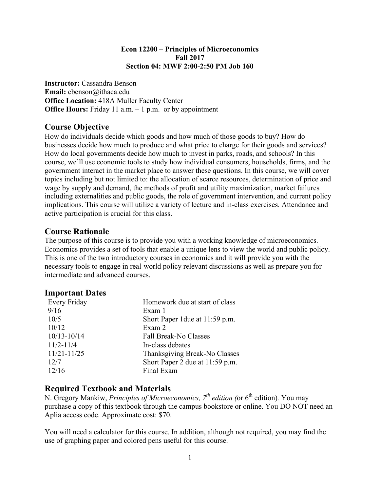#### **Econ 12200 – Principles of Microeconomics Fall 2017 Section 04: MWF 2:00-2:50 PM Job 160**

**Instructor:** Cassandra Benson **Email:** cbenson@ithaca.edu **Office Location:** 418A Muller Faculty Center **Office Hours:** Friday 11 a.m. – 1 p.m. or by appointment

## **Course Objective**

How do individuals decide which goods and how much of those goods to buy? How do businesses decide how much to produce and what price to charge for their goods and services? How do local governments decide how much to invest in parks, roads, and schools? In this course, we'll use economic tools to study how individual consumers, households, firms, and the government interact in the market place to answer these questions. In this course, we will cover topics including but not limited to: the allocation of scarce resources, determination of price and wage by supply and demand, the methods of profit and utility maximization, market failures including externalities and public goods, the role of government intervention, and current policy implications. This course will utilize a variety of lecture and in-class exercises. Attendance and active participation is crucial for this class.

## **Course Rationale**

The purpose of this course is to provide you with a working knowledge of microeconomics. Economics provides a set of tools that enable a unique lens to view the world and public policy. This is one of the two introductory courses in economics and it will provide you with the necessary tools to engage in real-world policy relevant discussions as well as prepare you for intermediate and advanced courses.

## **Important Dates**

| Homework due at start of class  |
|---------------------------------|
| Exam 1                          |
| Short Paper 1 due at 11:59 p.m. |
| Exam 2                          |
| <b>Fall Break-No Classes</b>    |
| In-class debates                |
| Thanksgiving Break-No Classes   |
| Short Paper 2 due at 11:59 p.m. |
| Final Exam                      |
|                                 |

## **Required Textbook and Materials**

N. Gregory Mankiw, *Principles of Microeconomics*,  $7<sup>th</sup>$  *edition* (or 6<sup>th</sup> edition). You may purchase a copy of this textbook through the campus bookstore or online. You DO NOT need an Aplia access code. Approximate cost: \$70.

You will need a calculator for this course. In addition, although not required, you may find the use of graphing paper and colored pens useful for this course.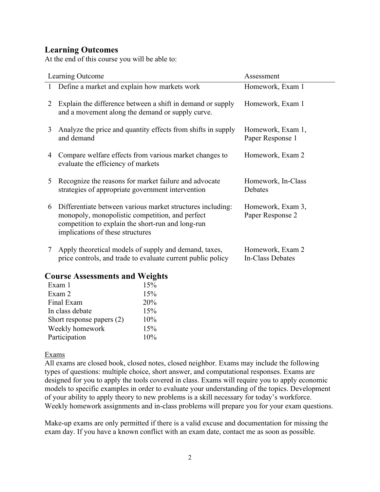## **Learning Outcomes**

At the end of this course you will be able to:

|   | Learning Outcome                                                                                                                                                                                       | Assessment                            |
|---|--------------------------------------------------------------------------------------------------------------------------------------------------------------------------------------------------------|---------------------------------------|
| 1 | Define a market and explain how markets work                                                                                                                                                           | Homework, Exam 1                      |
| 2 | Explain the difference between a shift in demand or supply<br>and a movement along the demand or supply curve.                                                                                         | Homework, Exam 1                      |
| 3 | Analyze the price and quantity effects from shifts in supply<br>and demand                                                                                                                             | Homework, Exam 1,<br>Paper Response 1 |
| 4 | Compare welfare effects from various market changes to<br>evaluate the efficiency of markets                                                                                                           | Homework, Exam 2                      |
| 5 | Recognize the reasons for market failure and advocate<br>strategies of appropriate government intervention                                                                                             | Homework, In-Class<br>Debates         |
| 6 | Differentiate between various market structures including:<br>monopoly, monopolistic competition, and perfect<br>competition to explain the short-run and long-run<br>implications of these structures | Homework, Exam 3,<br>Paper Response 2 |
| 7 | Apply theoretical models of supply and demand, taxes,<br>price controls, and trade to evaluate current public policy                                                                                   | Homework, Exam 2<br>In-Class Debates  |

## **Course Assessments and Weights**

| Exam 1                    | 15% |
|---------------------------|-----|
| Exam 2                    | 15% |
| Final Exam                | 20% |
| In class debate           | 15% |
| Short response papers (2) | 10% |
| Weekly homework           | 15% |
| Participation             | 10% |

Exams

All exams are closed book, closed notes, closed neighbor. Exams may include the following types of questions: multiple choice, short answer, and computational responses. Exams are designed for you to apply the tools covered in class. Exams will require you to apply economic models to specific examples in order to evaluate your understanding of the topics. Development of your ability to apply theory to new problems is a skill necessary for today's workforce. Weekly homework assignments and in-class problems will prepare you for your exam questions.

Make-up exams are only permitted if there is a valid excuse and documentation for missing the exam day. If you have a known conflict with an exam date, contact me as soon as possible.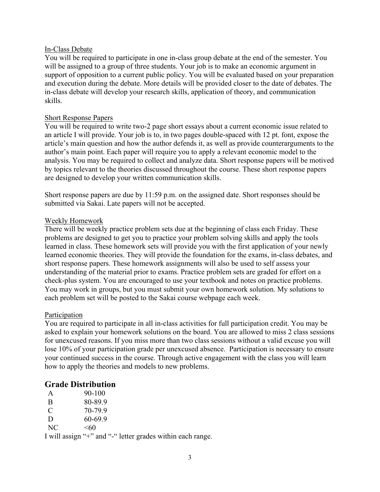#### In-Class Debate

You will be required to participate in one in-class group debate at the end of the semester. You will be assigned to a group of three students. Your job is to make an economic argument in support of opposition to a current public policy. You will be evaluated based on your preparation and execution during the debate. More details will be provided closer to the date of debates. The in-class debate will develop your research skills, application of theory, and communication skills.

#### Short Response Papers

You will be required to write two-2 page short essays about a current economic issue related to an article I will provide. Your job is to, in two pages double-spaced with 12 pt. font, expose the article's main question and how the author defends it, as well as provide counterarguments to the author's main point. Each paper will require you to apply a relevant economic model to the analysis. You may be required to collect and analyze data. Short response papers will be motived by topics relevant to the theories discussed throughout the course. These short response papers are designed to develop your written communication skills.

Short response papers are due by 11:59 p.m. on the assigned date. Short responses should be submitted via Sakai. Late papers will not be accepted.

#### Weekly Homework

There will be weekly practice problem sets due at the beginning of class each Friday. These problems are designed to get you to practice your problem solving skills and apply the tools learned in class. These homework sets will provide you with the first application of your newly learned economic theories. They will provide the foundation for the exams, in-class debates, and short response papers. These homework assignments will also be used to self assess your understanding of the material prior to exams. Practice problem sets are graded for effort on a check-plus system. You are encouraged to use your textbook and notes on practice problems. You may work in groups, but you must submit your own homework solution. My solutions to each problem set will be posted to the Sakai course webpage each week.

#### Participation

You are required to participate in all in-class activities for full participation credit. You may be asked to explain your homework solutions on the board. You are allowed to miss 2 class sessions for unexcused reasons. If you miss more than two class sessions without a valid excuse you will lose 10% of your participation grade per unexcused absence. Participation is necessary to ensure your continued success in the course. Through active engagement with the class you will learn how to apply the theories and models to new problems.

### **Grade Distribution**

| A   | $90 - 100$ |
|-----|------------|
| B   | 80-89.9    |
| C   | 70-79.9    |
| D   | 60-699     |
| NC. | < 60       |

I will assign "+" and "-" letter grades within each range.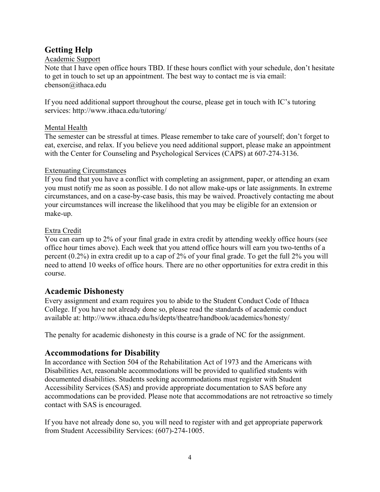# **Getting Help**

### Academic Support

Note that I have open office hours TBD. If these hours conflict with your schedule, don't hesitate to get in touch to set up an appointment. The best way to contact me is via email: cbenson@ithaca.edu

If you need additional support throughout the course, please get in touch with IC's tutoring services: http://www.ithaca.edu/tutoring/

## Mental Health

The semester can be stressful at times. Please remember to take care of yourself; don't forget to eat, exercise, and relax. If you believe you need additional support, please make an appointment with the Center for Counseling and Psychological Services (CAPS) at 607-274-3136.

## Extenuating Circumstances

If you find that you have a conflict with completing an assignment, paper, or attending an exam you must notify me as soon as possible. I do not allow make-ups or late assignments. In extreme circumstances, and on a case-by-case basis, this may be waived. Proactively contacting me about your circumstances will increase the likelihood that you may be eligible for an extension or make-up.

## Extra Credit

You can earn up to 2% of your final grade in extra credit by attending weekly office hours (see office hour times above). Each week that you attend office hours will earn you two-tenths of a percent (0.2%) in extra credit up to a cap of 2% of your final grade. To get the full 2% you will need to attend 10 weeks of office hours. There are no other opportunities for extra credit in this course.

# **Academic Dishonesty**

Every assignment and exam requires you to abide to the Student Conduct Code of Ithaca College. If you have not already done so, please read the standards of academic conduct available at: http://www.ithaca.edu/hs/depts/theatre/handbook/academics/honesty/

The penalty for academic dishonesty in this course is a grade of NC for the assignment.

# **Accommodations for Disability**

In accordance with Section 504 of the Rehabilitation Act of 1973 and the Americans with Disabilities Act, reasonable accommodations will be provided to qualified students with documented disabilities. Students seeking accommodations must register with Student Accessibility Services (SAS) and provide appropriate documentation to SAS before any accommodations can be provided. Please note that accommodations are not retroactive so timely contact with SAS is encouraged.

If you have not already done so, you will need to register with and get appropriate paperwork from Student Accessibility Services: (607)-274-1005.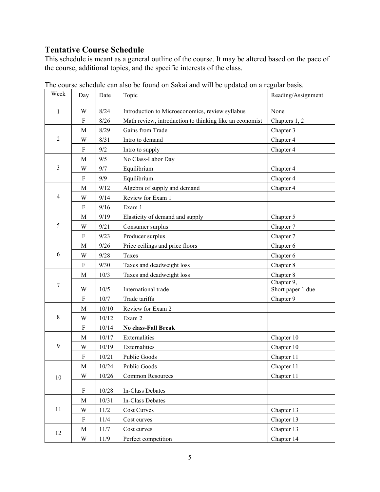# **Tentative Course Schedule**

This schedule is meant as a general outline of the course. It may be altered based on the pace of the course, additional topics, and the specific interests of the class.

| Week           | Day       | Date     | Topic                                                   | Reading/Assignment                           |
|----------------|-----------|----------|---------------------------------------------------------|----------------------------------------------|
| 1              | W         | 8/24     | Introduction to Microeconomics, review syllabus         | None                                         |
|                | F         | 8/26     | Math review, introduction to thinking like an economist | Chapters 1, 2                                |
|                | M         | 8/29     | Gains from Trade                                        | Chapter 3                                    |
| $\overline{2}$ | W         | 8/31     | Intro to demand                                         | Chapter 4                                    |
|                | F         | 9/2      | Intro to supply                                         | Chapter 4                                    |
|                | M         | 9/5      | No Class-Labor Day                                      |                                              |
| 3              | W         | 9/7      | Equilibrium                                             | Chapter 4                                    |
|                | F         | 9/9      | Equilibrium                                             | Chapter 4                                    |
|                | М         | 9/12     | Algebra of supply and demand                            | Chapter 4                                    |
| $\overline{4}$ | W         | 9/14     | Review for Exam 1                                       |                                              |
|                | F         | 9/16     | Exam 1                                                  |                                              |
|                | M         | 9/19     | Elasticity of demand and supply                         | Chapter 5                                    |
| 5              | W         | 9/21     | Consumer surplus                                        | Chapter 7                                    |
|                | ${\rm F}$ | 9/23     | Producer surplus                                        | Chapter 7                                    |
|                | М         | 9/26     | Price ceilings and price floors                         | Chapter 6                                    |
| 6              | W         | 9/28     | Taxes                                                   | Chapter 6                                    |
|                | F         | 9/30     | Taxes and deadweight loss                               | Chapter 8                                    |
|                | M         | 10/3     | Taxes and deadweight loss                               | Chapter 8                                    |
| 7              | W         | 10/5     | International trade                                     | Chapter $\overline{9,}$<br>Short paper 1 due |
|                | F         | 10/7     | Trade tariffs                                           | Chapter 9                                    |
|                | M         | 10/10    | Review for Exam 2                                       |                                              |
| 8              | W         | 10/12    | Exam 2                                                  |                                              |
|                | ${\bf F}$ | 10/14    | <b>No class-Fall Break</b>                              |                                              |
|                | M         | 10/17    | Externalities                                           | Chapter 10                                   |
| 9              | W         | 10/19    | Externalities                                           | Chapter 10                                   |
|                | F         | 10/21    | <b>Public Goods</b>                                     | Chapter 11                                   |
|                | M         | 10/24    | <b>Public Goods</b>                                     | Chapter 11                                   |
| 10             | W         | $10/26$  | Common Resources                                        | Chapter 11                                   |
|                | F         | 10/28    | In-Class Debates                                        |                                              |
|                | M         | 10/31    | In-Class Debates                                        |                                              |
| 11             | W         | $11/2$   | Cost Curves                                             | Chapter 13                                   |
|                | F         | 11/4     | Cost curves                                             | Chapter 13                                   |
|                | M         | $11/7\,$ | Cost curves                                             | Chapter 13                                   |
| 12             | W         | 11/9     | Perfect competition                                     | Chapter 14                                   |

The course schedule can also be found on Sakai and will be updated on a regular basis.